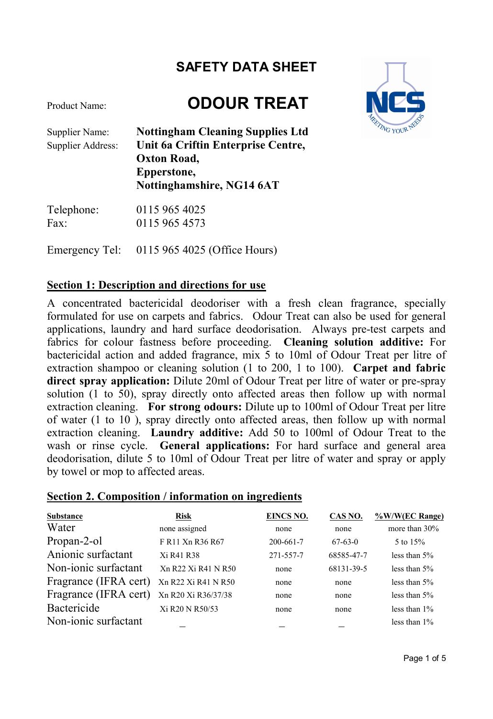# Product Name: **ODOUR TREAT**



Supplier Name: **Nottingham Cleaning Supplies Ltd** Supplier Address: **Unit 6a Criftin Enterprise Centre, Oxton Road, Epperstone, Nottinghamshire, NG14 6AT**

| Telephone: | 0115 965 4025 |
|------------|---------------|
| Fax:       | 0115 965 4573 |

Emergency Tel: 0115 965 4025 (Office Hours)

#### **Section 1: Description and directions for use**

A concentrated bactericidal deodoriser with a fresh clean fragrance, specially formulated for use on carpets and fabrics. Odour Treat can also be used for general applications, laundry and hard surface deodorisation. Always pre-test carpets and fabrics for colour fastness before proceeding. **Cleaning solution additive:** For bactericidal action and added fragrance, mix 5 to 10ml of Odour Treat per litre of extraction shampoo or cleaning solution (1 to 200, 1 to 100). **Carpet and fabric direct spray application:** Dilute 20ml of Odour Treat per litre of water or pre-spray solution (1 to 50), spray directly onto affected areas then follow up with normal extraction cleaning. **For strong odours:** Dilute up to 100ml of Odour Treat per litre of water (1 to 10 ), spray directly onto affected areas, then follow up with normal extraction cleaning. **Laundry additive:** Add 50 to 100ml of Odour Treat to the wash or rinse cycle. **General applications:** For hard surface and general area deodorisation, dilute 5 to 10ml of Odour Treat per litre of water and spray or apply by towel or mop to affected areas.

#### **Section 2. Composition / information on ingredients**

| Substance             | <b>Risk</b>                                                                    | EINCS NO.       | CAS NO.    | %W/W(EC Range)  |
|-----------------------|--------------------------------------------------------------------------------|-----------------|------------|-----------------|
| Water                 | none assigned                                                                  | none            | none       | more than 30%   |
| Propan-2-ol           | F R11 Xn R36 R67                                                               | $200 - 661 - 7$ | $67-63-0$  | 5 to 15%        |
| Anionic surfactant    | Xi R41 R38                                                                     | 271-557-7       | 68585-47-7 | less than $5\%$ |
| Non-ionic surfactant  | X <sub>n</sub> R <sub>22</sub> X <sub>i</sub> R <sub>41</sub> N <sub>R50</sub> | none            | 68131-39-5 | less than $5\%$ |
| Fragrance (IFRA cert) | Xn R22 Xi R41 N R50                                                            | none            | none       | less than $5\%$ |
| Fragrance (IFRA cert) | Xn R20 Xi R36/37/38                                                            | none            | none       | less than $5\%$ |
| Bactericide           | Xi R <sub>20</sub> N R <sub>50</sub> /53                                       | none            | none       | less than $1\%$ |
| Non-ionic surfactant  |                                                                                |                 |            | less than $1\%$ |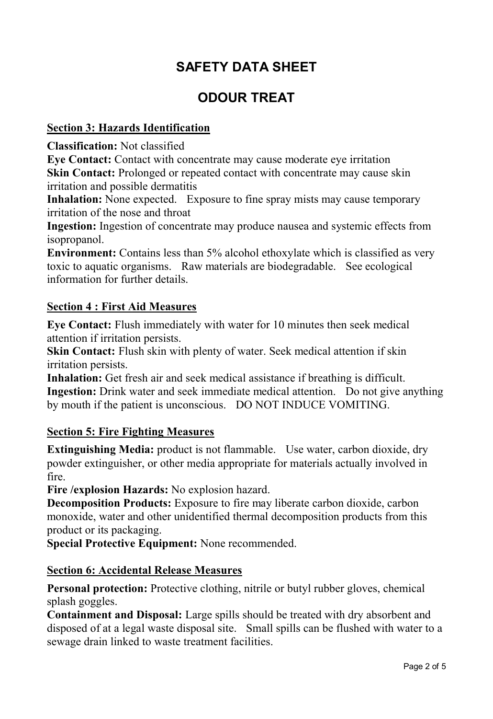### **ODOUR TREAT**

#### **Section 3: Hazards Identification**

**Classification:** Not classified

**Eye Contact:** Contact with concentrate may cause moderate eye irritation **Skin Contact:** Prolonged or repeated contact with concentrate may cause skin irritation and possible dermatitis

**Inhalation:** None expected. Exposure to fine spray mists may cause temporary irritation of the nose and throat

**Ingestion:** Ingestion of concentrate may produce nausea and systemic effects from isopropanol.

**Environment:** Contains less than 5% alcohol ethoxylate which is classified as very toxic to aquatic organisms. Raw materials are biodegradable. See ecological information for further details.

#### **Section 4 : First Aid Measures**

**Eye Contact:** Flush immediately with water for 10 minutes then seek medical attention if irritation persists.

**Skin Contact:** Flush skin with plenty of water. Seek medical attention if skin irritation persists.

**Inhalation:** Get fresh air and seek medical assistance if breathing is difficult. **Ingestion:** Drink water and seek immediate medical attention. Do not give anything by mouth if the patient is unconscious. DO NOT INDUCE VOMITING.

#### **Section 5: Fire Fighting Measures**

**Extinguishing Media:** product is not flammable. Use water, carbon dioxide, dry powder extinguisher, or other media appropriate for materials actually involved in fire.

**Fire /explosion Hazards:** No explosion hazard.

**Decomposition Products:** Exposure to fire may liberate carbon dioxide, carbon monoxide, water and other unidentified thermal decomposition products from this product or its packaging.

**Special Protective Equipment:** None recommended.

#### **Section 6: Accidental Release Measures**

**Personal protection:** Protective clothing, nitrile or butyl rubber gloves, chemical splash goggles.

**Containment and Disposal:** Large spills should be treated with dry absorbent and disposed of at a legal waste disposal site. Small spills can be flushed with water to a sewage drain linked to waste treatment facilities.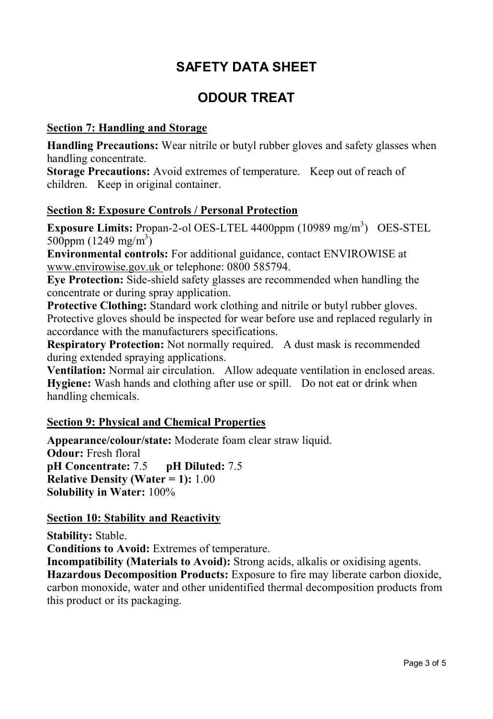### **ODOUR TREAT**

#### **Section 7: Handling and Storage**

**Handling Precautions:** Wear nitrile or butyl rubber gloves and safety glasses when handling concentrate.

**Storage Precautions:** Avoid extremes of temperature. Keep out of reach of children. Keep in original container.

#### **Section 8: Exposure Controls / Personal Protection**

**Exposure Limits:** Propan-2-ol OES-LTEL 4400ppm (10989 mg/m<sup>3</sup>) OES-STEL 500ppm  $(1249 \text{ mg/m}^3)$ 

**Environmental controls:** For additional guidance, contact ENVIROWISE at www.envirowise.gov.uk or telephone: 0800 585794.

**Eye Protection:** Side-shield safety glasses are recommended when handling the concentrate or during spray application.

**Protective Clothing:** Standard work clothing and nitrile or butyl rubber gloves. Protective gloves should be inspected for wear before use and replaced regularly in accordance with the manufacturers specifications.

**Respiratory Protection:** Not normally required. A dust mask is recommended during extended spraying applications.

**Ventilation:** Normal air circulation. Allow adequate ventilation in enclosed areas. **Hygiene:** Wash hands and clothing after use or spill. Do not eat or drink when handling chemicals.

#### **Section 9: Physical and Chemical Properties**

**Appearance/colour/state:** Moderate foam clear straw liquid. **Odour:** Fresh floral **pH Concentrate:** 7.5 **pH Diluted:** 7.5 **Relative Density (Water = 1):** 1.00 **Solubility in Water:** 100%

#### **Section 10: Stability and Reactivity**

**Stability:** Stable. **Conditions to Avoid:** Extremes of temperature.

**Incompatibility (Materials to Avoid):** Strong acids, alkalis or oxidising agents. **Hazardous Decomposition Products:** Exposure to fire may liberate carbon dioxide, carbon monoxide, water and other unidentified thermal decomposition products from this product or its packaging.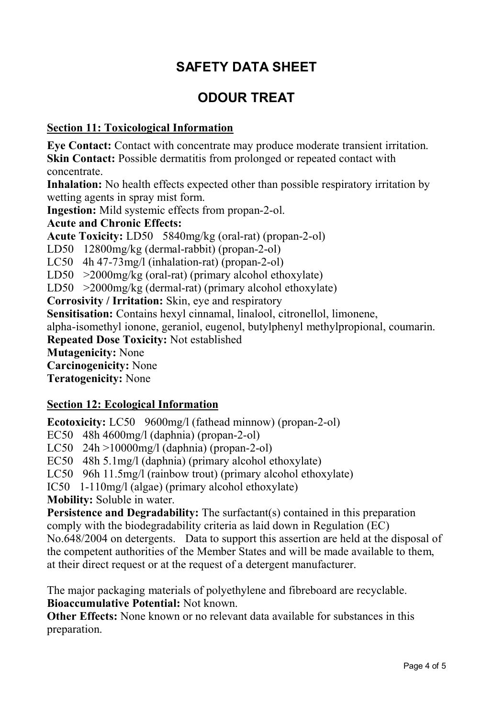## **ODOUR TREAT**

#### **Section 11: Toxicological Information**

**Eye Contact:** Contact with concentrate may produce moderate transient irritation. **Skin Contact:** Possible dermatitis from prolonged or repeated contact with concentrate.

Inhalation: No health effects expected other than possible respiratory irritation by wetting agents in spray mist form.

**Ingestion:** Mild systemic effects from propan-2-ol.

**Acute and Chronic Effects:** 

**Acute Toxicity:** LD50 5840mg/kg (oral-rat) (propan-2-ol)

LD50 12800mg/kg (dermal-rabbit) (propan-2-ol)

LC50 4h 47-73mg/l (inhalation-rat) (propan-2-ol)

LD50 >2000mg/kg (oral-rat) (primary alcohol ethoxylate)

LD50 >2000mg/kg (dermal-rat) (primary alcohol ethoxylate)

**Corrosivity / Irritation:** Skin, eye and respiratory

**Sensitisation:** Contains hexyl cinnamal, linalool, citronellol, limonene,

alpha-isomethyl ionone, geraniol, eugenol, butylphenyl methylpropional, coumarin.

**Repeated Dose Toxicity:** Not established

**Mutagenicity:** None

**Carcinogenicity:** None

**Teratogenicity:** None

#### **Section 12: Ecological Information**

**Ecotoxicity:** LC50 9600mg/l (fathead minnow) (propan-2-ol)

EC50 48h 4600mg/l (daphnia) (propan-2-ol)

LC50 24h >10000mg/l (daphnia) (propan-2-ol)

EC50 48h 5.1mg/l (daphnia) (primary alcohol ethoxylate)

LC50 96h 11.5mg/l (rainbow trout) (primary alcohol ethoxylate)

IC50 1-110mg/l (algae) (primary alcohol ethoxylate)

**Mobility:** Soluble in water.

**Persistence and Degradability:** The surfactant(s) contained in this preparation comply with the biodegradability criteria as laid down in Regulation (EC) No.648/2004 on detergents. Data to support this assertion are held at the disposal of the competent authorities of the Member States and will be made available to them, at their direct request or at the request of a detergent manufacturer.

The major packaging materials of polyethylene and fibreboard are recyclable. **Bioaccumulative Potential:** Not known.

**Other Effects:** None known or no relevant data available for substances in this preparation.